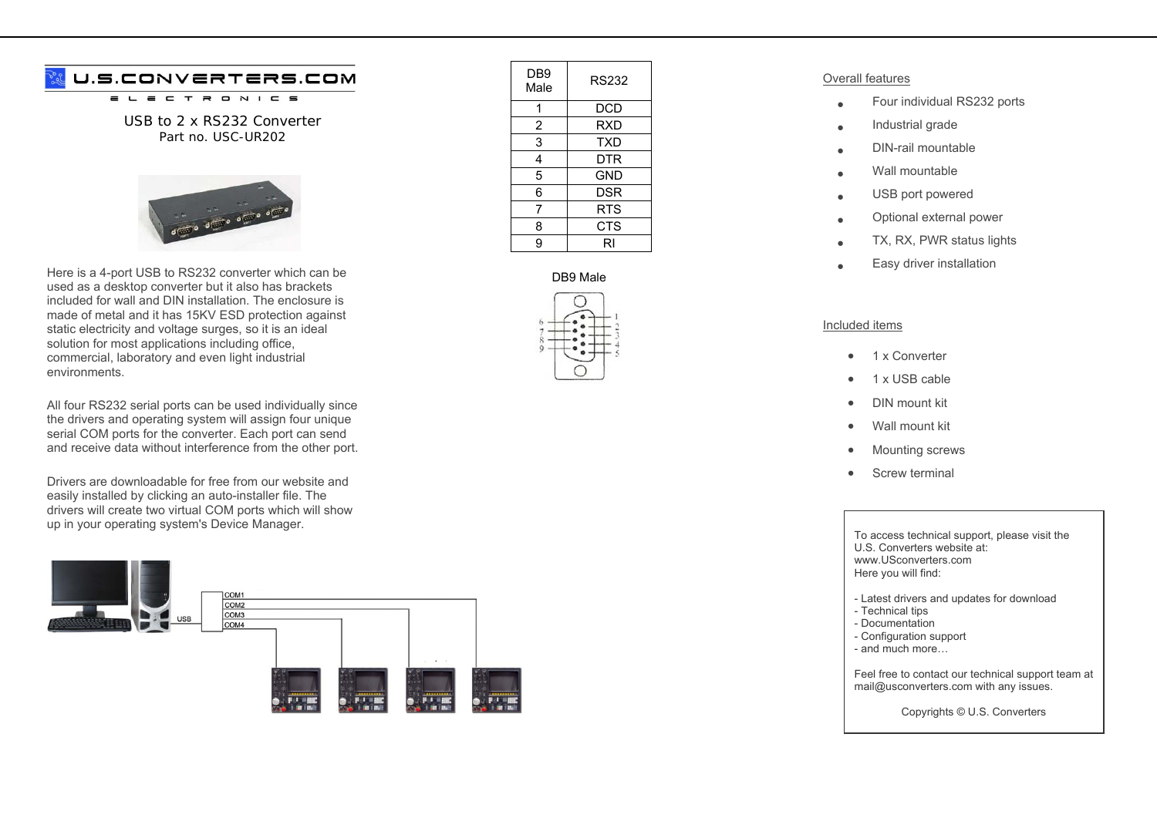# U.S.CONVERTERS.COM

 $\equiv$  $\tau$  $\overline{\phantom{a}}$  $\qquad \qquad \blacksquare$  $N$   $I$   $C$   $S$ 

USB to 2 x RS232 Converter Part no. USC-UR202



Here is a 4-port USB to RS232 converter which can be used as a desktop converter but it also has brackets included for wall and DIN installation. The enclosure is made of metal and it has 15KV ESD protection against static electricity and voltage surges, so it is an ideal solution for most applications including office, commercial, laboratory and even light industrial environments.

All four RS232 serial ports can be used individually since the drivers and operating system will assign four unique serial COM ports for the converter. Each port can send and receive data without interference from the other port.

Drivers are downloadable for free from our website and easily installed by clicking an auto-installer file. The drivers will create two virtual COM ports which will show up in your operating system's Device Manager.



| DB9<br>Male    | <b>RS232</b> |
|----------------|--------------|
|                | DCD          |
| $\overline{c}$ | <b>RXD</b>   |
| 3              | <b>TXD</b>   |
| 4              | DTR          |
| 5              | GND          |
| 6              | <b>DSR</b>   |
| 7              | <b>RTS</b>   |
| 8              | <b>CTS</b>   |
| 9              | RI           |

## DB9 Male



### Overall features

- •Four individual RS232 ports
- •Industrial grade
- •DIN-rail mountable
- •Wall mountable
- •USB port powered
- •Optional external power
- •TX, RX, PWR status lights
- •Easy driver installation

### Included items

- •1 x Converter
- •1 x USB cable
- •DIN mount kit
- •Wall mount kit
- •Mounting screws
- •Screw terminal

#### To access technical support, please visit the U.S. Converters website at: www.USconverters.com Here you will find:

- Latest drivers and updates for download
- Technical tips
- Documentation
- Configuration support
- and much more…

Feel free to contact our technical support team at mail@usconverters.com with any issues.

Copyrights © U.S. Converters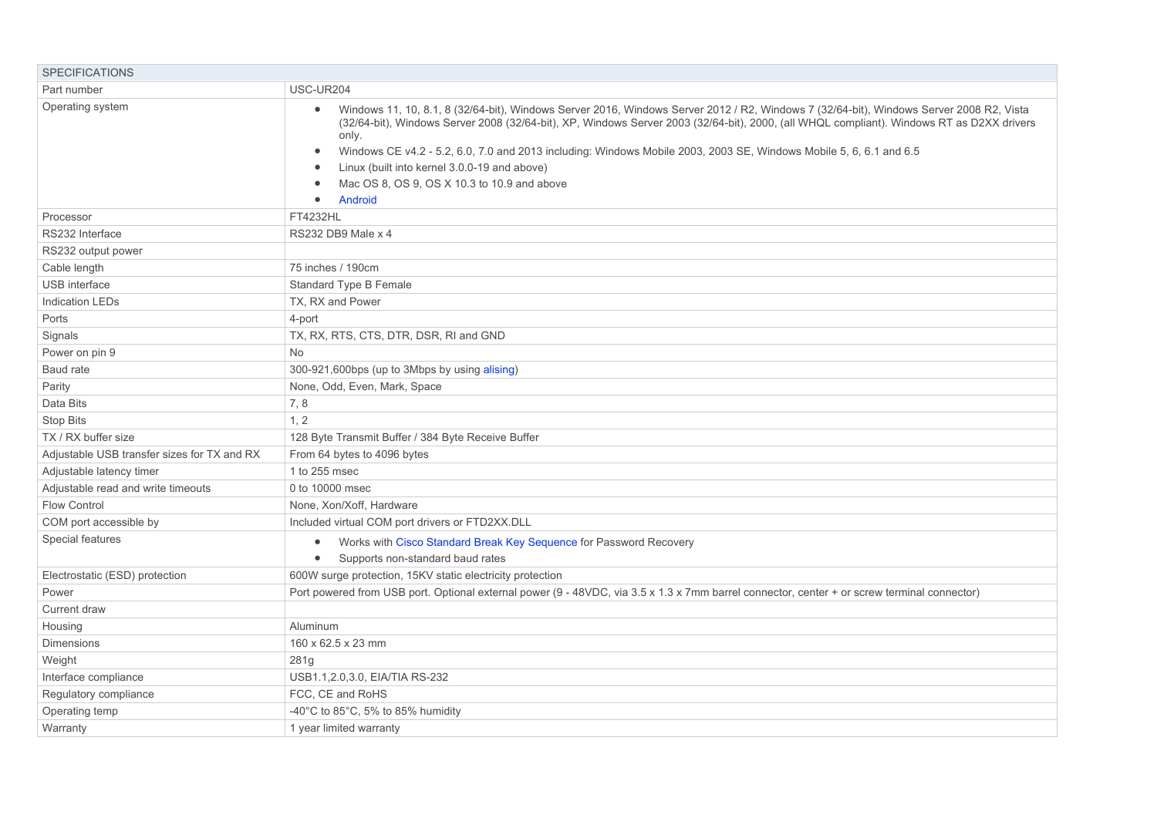| <b>SPECIFICATIONS</b>                       |                                                                                                                                                                                                                                                                                                                                                                                                                                                                                                                                                         |
|---------------------------------------------|---------------------------------------------------------------------------------------------------------------------------------------------------------------------------------------------------------------------------------------------------------------------------------------------------------------------------------------------------------------------------------------------------------------------------------------------------------------------------------------------------------------------------------------------------------|
| Part number                                 | USC-UR204                                                                                                                                                                                                                                                                                                                                                                                                                                                                                                                                               |
| Operating system                            | Windows 11, 10, 8.1, 8 (32/64-bit), Windows Server 2016, Windows Server 2012 / R2, Windows 7 (32/64-bit), Windows Server 2008 R2, Vista<br>(32/64-bit), Windows Server 2008 (32/64-bit), XP, Windows Server 2003 (32/64-bit), 2000, (all WHQL compliant). Windows RT as D2XX drivers<br>only.<br>Windows CE v4.2 - 5.2, 6.0, 7.0 and 2013 including: Windows Mobile 2003, 2003 SE, Windows Mobile 5, 6, 6.1 and 6.5<br>$\bullet$<br>Linux (built into kernel 3.0.0-19 and above)<br>Mac OS 8, OS 9, OS X 10.3 to 10.9 and above<br>Android<br>$\bullet$ |
| Processor                                   | FT4232HL                                                                                                                                                                                                                                                                                                                                                                                                                                                                                                                                                |
| RS232 Interface                             | RS232 DB9 Male x 4                                                                                                                                                                                                                                                                                                                                                                                                                                                                                                                                      |
| RS232 output power                          |                                                                                                                                                                                                                                                                                                                                                                                                                                                                                                                                                         |
| Cable length                                | 75 inches / 190cm                                                                                                                                                                                                                                                                                                                                                                                                                                                                                                                                       |
| <b>USB</b> interface                        | Standard Type B Female                                                                                                                                                                                                                                                                                                                                                                                                                                                                                                                                  |
| <b>Indication LEDs</b>                      | TX, RX and Power                                                                                                                                                                                                                                                                                                                                                                                                                                                                                                                                        |
| Ports                                       | 4-port                                                                                                                                                                                                                                                                                                                                                                                                                                                                                                                                                  |
| Signals                                     | TX, RX, RTS, CTS, DTR, DSR, RI and GND                                                                                                                                                                                                                                                                                                                                                                                                                                                                                                                  |
| Power on pin 9                              | <b>No</b>                                                                                                                                                                                                                                                                                                                                                                                                                                                                                                                                               |
| Baud rate                                   | 300-921,600bps (up to 3Mbps by using alising)                                                                                                                                                                                                                                                                                                                                                                                                                                                                                                           |
| Parity                                      | None, Odd, Even, Mark, Space                                                                                                                                                                                                                                                                                                                                                                                                                                                                                                                            |
| Data Bits                                   | 7, 8                                                                                                                                                                                                                                                                                                                                                                                                                                                                                                                                                    |
| <b>Stop Bits</b>                            | 1, 2                                                                                                                                                                                                                                                                                                                                                                                                                                                                                                                                                    |
| TX / RX buffer size                         | 128 Byte Transmit Buffer / 384 Byte Receive Buffer                                                                                                                                                                                                                                                                                                                                                                                                                                                                                                      |
| Adjustable USB transfer sizes for TX and RX | From 64 bytes to 4096 bytes                                                                                                                                                                                                                                                                                                                                                                                                                                                                                                                             |
| Adjustable latency timer                    | 1 to 255 msec                                                                                                                                                                                                                                                                                                                                                                                                                                                                                                                                           |
| Adjustable read and write timeouts          | 0 to 10000 msec                                                                                                                                                                                                                                                                                                                                                                                                                                                                                                                                         |
| <b>Flow Control</b>                         | None, Xon/Xoff, Hardware                                                                                                                                                                                                                                                                                                                                                                                                                                                                                                                                |
| COM port accessible by                      | Included virtual COM port drivers or FTD2XX.DLL                                                                                                                                                                                                                                                                                                                                                                                                                                                                                                         |
| Special features                            | Works with Cisco Standard Break Key Sequence for Password Recovery<br>$\bullet$                                                                                                                                                                                                                                                                                                                                                                                                                                                                         |
|                                             | Supports non-standard baud rates<br>$\bullet$                                                                                                                                                                                                                                                                                                                                                                                                                                                                                                           |
| Electrostatic (ESD) protection              | 600W surge protection, 15KV static electricity protection                                                                                                                                                                                                                                                                                                                                                                                                                                                                                               |
| Power                                       | Port powered from USB port. Optional external power (9 - 48VDC, via 3.5 x 1.3 x 7mm barrel connector, center + or screw terminal connector)                                                                                                                                                                                                                                                                                                                                                                                                             |
| <b>Current draw</b>                         |                                                                                                                                                                                                                                                                                                                                                                                                                                                                                                                                                         |
| Housing                                     | Aluminum                                                                                                                                                                                                                                                                                                                                                                                                                                                                                                                                                |
| <b>Dimensions</b>                           | 160 x 62.5 x 23 mm                                                                                                                                                                                                                                                                                                                                                                                                                                                                                                                                      |
| Weight                                      | 281g                                                                                                                                                                                                                                                                                                                                                                                                                                                                                                                                                    |
| Interface compliance                        | USB1.1, 2.0, 3.0, EIA/TIA RS-232                                                                                                                                                                                                                                                                                                                                                                                                                                                                                                                        |
| Regulatory compliance                       | FCC, CE and RoHS                                                                                                                                                                                                                                                                                                                                                                                                                                                                                                                                        |
| Operating temp                              | -40°C to 85°C, 5% to 85% humidity                                                                                                                                                                                                                                                                                                                                                                                                                                                                                                                       |
| Warranty                                    | 1 year limited warranty                                                                                                                                                                                                                                                                                                                                                                                                                                                                                                                                 |